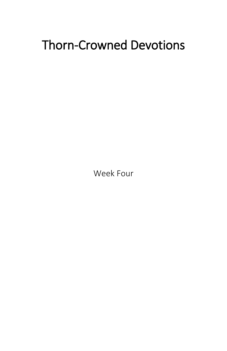# Thorn-Crowned Devotions

Week Four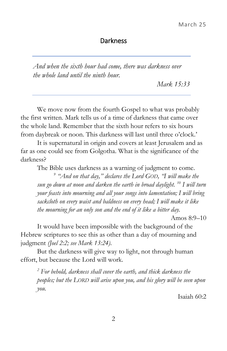#### Darkness

*And when the sixth hour had come, there was darkness over the whole land until the ninth hour.* 

*Mark 15:33* 

We move now from the fourth Gospel to what was probably the first written. Mark tells us of a time of darkness that came over the whole land. Remember that the sixth hour refers to six hours from daybreak or noon. This darkness will last until three o'clock.'

It is supernatural in origin and covers at least Jerusalem and as far as one could see from Golgotha. What is the significance of the darkness?

The Bible uses darkness as a warning of judgment to come.

*9 "And on that day," declares the Lord GOD, "I will make the sun go down at noon and darken the earth in broad daylight. <sup>10</sup> I will turn your feasts into mourning and all your songs into lamentation; I will bring sackcloth on every waist and baldness on every head; I will make it like the mourning for an only son and the end of it like a bitter day.* 

Amos 8:9–10

It would have been impossible with the background of the Hebrew scriptures to see this as other than a day of mourning and judgment *(Joel 2:2; see Mark 13:24)*.

But the darkness will give way to light, not through human effort, but because the Lord will work.

*<sup>2</sup> For behold, darkness shall cover the earth, and thick darkness the peoples; but the LORD will arise upon you, and his glory will be seen upon you.*

Isaiah 60:2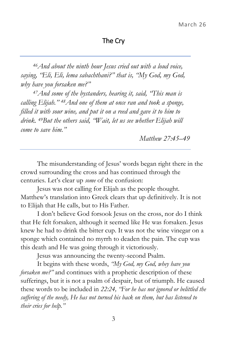## The Cry

*<sup>46</sup>And about the ninth hour Jesus cried out with a loud voice, saying, "Eli, Eli, lema sabachthani?" that is, "My God, my God, why have you forsaken me?"* 

*<sup>47</sup>And some of the bystanders, hearing it, said, "This man is calling Elijah." 48And one of them at once ran and took a sponge, filled it with sour wine, and put it on a reed and gave it to him to drink. 49But the others said, "Wait, let us see whether Elijah will come to save him."* 

*Matthew 27:45–49* 

The misunderstanding of Jesus' words began right there in the crowd surrounding the cross and has continued through the centuries. Let's clear up *some* of the confusion:

Jesus was not calling for Elijah as the people thought. Matthew's translation into Greek clears that up definitively. It is not to Elijah that He calls, but to His Father.

I don't believe God forsook Jesus on the cross, nor do I think that He felt forsaken, although it seemed like He was forsaken. Jesus knew he had to drink the bitter cup. It was not the wine vinegar on a sponge which contained no myrrh to deaden the pain. The cup was this death and He was going through it victoriously.

Jesus was announcing the twenty-second Psalm.

It begins with these words, *"My God, my God, whey have you forsaken me?"* and continues with a prophetic description of these sufferings, but it is not a psalm of despair, but of triumph. He caused these words to be included in *22:24, "For he has not ignored or belittled the suffering of the needy, He has not turned his back on them, but has listened to their cries for help."*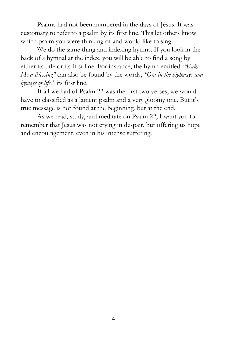Psalms had not been numbered in the days of Jesus. It was customary to refer to a psalm by its first line. This let others know which psalm you were thinking of and would like to sing.

We do the same thing and indexing hymns. If you look in the back of a hymnal at the index, you will be able to find a song by either its title or its first line. For instance, the hymn entitled *"Make Me a Blessing"* can also be found by the words, *"Out in the highways and byways of life,"* its first line.

If all we had of Psalm 22 was the first two verses, we would have to classified as a lament psalm and a very gloomy one. But it's true message is not found at the beginning, but at the end.

As we read, study, and meditate on Psalm 22, I want you to remember that Jesus was not crying in despair, but offering us hope and encouragement, even in his intense suffering.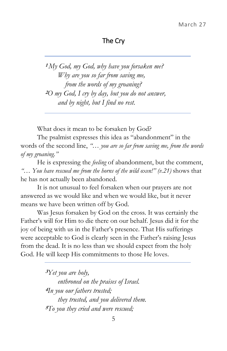## The Cry

**1** *My God, my God, why have you forsaken me? Why are you so far from saving me, from the words of my groaning?*  **<sup>2</sup>***O my God, I cry by day, but you do not answer, and by night, but I find no rest.* 

What does it mean to be forsaken by God?

The psalmist expresses this idea as "abandonment" in the words of the second line, *"… you are so far from saving me, from the words of my groaning."*

He is expressing the *feeling* of abandonment, but the comment, *"*… *You have rescued me from the horns of the wild oxen!" (v.21)* shows that he has not actually been abandoned.

It is not unusual to feel forsaken when our prayers are not answered as we would like and when we would like, but it never means we have been written off by God.

Was Jesus forsaken by God on the cross. It was certainly the Father's will for Him to die there on our behalf. Jesus did it for the joy of being with us in the Father's presence. That His sufferings were acceptable to God is clearly seen in the Father's raising Jesus from the dead. It is no less than we should expect from the holy God. He will keep His commitments to those He loves.

> **<sup>3</sup>***Yet you are holy, enthroned on the praises of Israel.*  **<sup>4</sup>***In you our fathers trusted; they trusted, and you delivered them.*  **5***To you they cried and were rescued;*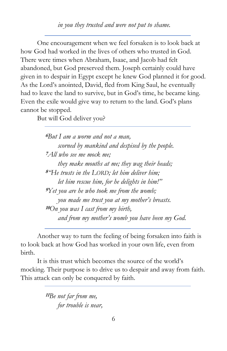One encouragement when we feel forsaken is to look back at how God had worked in the lives of others who trusted in God. There were times when Abraham, Isaac, and Jacob had felt abandoned, but God preserved them. Joseph certainly could have given in to despair in Egypt except he knew God planned it for good. As the Lord's anointed, David, fled from King Saul, he eventually had to leave the land to survive, but in God's time, he became king. Even the exile would give way to return to the land. God's plans cannot be stopped.

But will God deliver you?

**<sup>6</sup>***But I am a worm and not a man, scorned by mankind and despised by the people.*  **<sup>7</sup>***All who see me mock me; they make mouths at me; they wag their heads;*  **<sup>8</sup>***"He trusts in the LORD; let him deliver him; let him rescue him, for he delights in him!"*  **<sup>9</sup>***Yet you are he who took me from the womb; you made me trust you at my mother's breasts.*  **<sup>10</sup>***On you was I cast from my birth, and from my mother's womb you have been my God.* 

Another way to turn the feeling of being forsaken into faith is to look back at how God has worked in your own life, even from birth.

It is this trust which becomes the source of the world's mocking. Their purpose is to drive us to despair and away from faith. This attack can only be conquered by faith.

> **<sup>11</sup>***Be not far from me, for trouble is near,*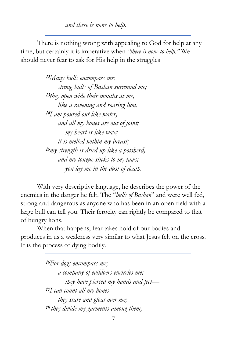*and there is none to help.* 

There is nothing wrong with appealing to God for help at any time, but certainly it is imperative when *"there is none to help."* We should never fear to ask for His help in the struggles

> **<sup>12</sup>***Many bulls encompass me; strong bulls of Bashan surround me;*  **13** *they open wide their mouths at me, like a ravening and roaring lion.*  **<sup>14</sup>***I am poured out like water, and all my bones are out of joint; my heart is like wax; it is melted within my breast;*  **<sup>15</sup>***my strength is dried up like a potsherd, and my tongue sticks to my jaws; you lay me in the dust of death.*

With very descriptive language, he describes the power of the enemies in the danger he felt. The "*bulls of Bashan*" and were well fed, strong and dangerous as anyone who has been in an open field with a large bull can tell you. Their ferocity can rightly be compared to that of hungry lions.

When that happens, fear takes hold of our bodies and produces in us a weakness very similar to what Jesus felt on the cross. It is the process of dying bodily.

> **<sup>16</sup>***For dogs encompass me; a company of evildoers encircles me; they have pierced my hands and feet—* **<sup>17</sup>***I can count all my bones they stare and gloat over me;*  **18** *they divide my garments among them,*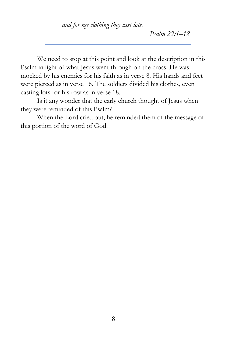*and for my clothing they cast lots.* 

*Psalm 22:1–18* 

We need to stop at this point and look at the description in this Psalm in light of what Jesus went through on the cross. He was mocked by his enemies for his faith as in verse 8. His hands and feet were pierced as in verse 16. The soldiers divided his clothes, even casting lots for his row as in verse 18.

Is it any wonder that the early church thought of Jesus when they were reminded of this Psalm?

When the Lord cried out, he reminded them of the message of this portion of the word of God.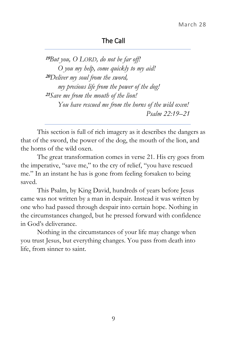### The Call

**<sup>19</sup>***But you, O LORD, do not be far off! O you my help, come quickly to my aid!*  **<sup>20</sup>***Deliver my soul from the sword, my precious life from the power of the dog!*  **<sup>21</sup>***Save me from the mouth of the lion! You have rescued me from the horns of the wild oxen! Psalm 22:19–21* 

This section is full of rich imagery as it describes the dangers as that of the sword, the power of the dog, the mouth of the lion, and the horns of the wild oxen.

The great transformation comes in verse 21. His cry goes from the imperative, "save me," to the cry of relief, "you have rescued me." In an instant he has is gone from feeling forsaken to being saved.

This Psalm, by King David, hundreds of years before Jesus came was not written by a man in despair. Instead it was written by one who had passed through despair into certain hope. Nothing in the circumstances changed, but he pressed forward with confidence in God's deliverance.

Nothing in the circumstances of your life may change when you trust Jesus, but everything changes. You pass from death into life, from sinner to saint.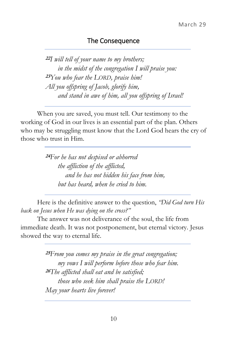## The Consequence

**<sup>22</sup>***I will tell of your name to my brothers; in the midst of the congregation I will praise you:*  **<sup>23</sup>***You who fear the LORD, praise him! All you offspring of Jacob, glorify him, and stand in awe of him, all you offspring of Israel!* 

When you are saved, you must tell. Our testimony to the working of God in our lives is an essential part of the plan. Others who may be struggling must know that the Lord God hears the cry of those who trust in Him.

> **<sup>24</sup>***For he has not despised or abhorred the affliction of the afflicted, and he has not hidden his face from him, but has heard, when he cried to him.*

Here is the definitive answer to the question, *"Did God turn His back on Jesus when He was dying on the cross?"* 

The answer was not deliverance of the soul, the life from immediate death. It was not postponement, but eternal victory. Jesus showed the way to eternal life.

> **<sup>25</sup>***From you comes my praise in the great congregation; my vows I will perform before those who fear him.*  **<sup>26</sup>***The afflicted shall eat and be satisfied; those who seek him shall praise the LORD! May your hearts live forever!*